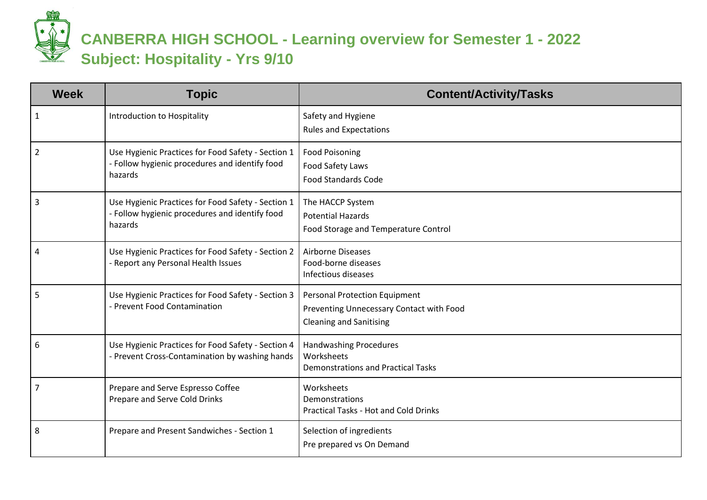**CANBERRA HIGH SCHOOL - Learning overview for Semester 1 - 2022 Subject: Hospitality - Yrs 9/10**

| <b>Week</b>    | <b>Topic</b>                                                                                                    | <b>Content/Activity/Tasks</b>                                                                                      |
|----------------|-----------------------------------------------------------------------------------------------------------------|--------------------------------------------------------------------------------------------------------------------|
| $\mathbf{1}$   | Introduction to Hospitality                                                                                     | Safety and Hygiene<br><b>Rules and Expectations</b>                                                                |
| $\overline{2}$ | Use Hygienic Practices for Food Safety - Section 1<br>- Follow hygienic procedures and identify food<br>hazards | <b>Food Poisoning</b><br>Food Safety Laws<br><b>Food Standards Code</b>                                            |
| 3              | Use Hygienic Practices for Food Safety - Section 1<br>- Follow hygienic procedures and identify food<br>hazards | The HACCP System<br><b>Potential Hazards</b><br>Food Storage and Temperature Control                               |
| 4              | Use Hygienic Practices for Food Safety - Section 2<br>- Report any Personal Health Issues                       | <b>Airborne Diseases</b><br>Food-borne diseases<br>Infectious diseases                                             |
| 5              | Use Hygienic Practices for Food Safety - Section 3<br>- Prevent Food Contamination                              | <b>Personal Protection Equipment</b><br>Preventing Unnecessary Contact with Food<br><b>Cleaning and Sanitising</b> |
| 6              | Use Hygienic Practices for Food Safety - Section 4<br>- Prevent Cross-Contamination by washing hands            | <b>Handwashing Procedures</b><br>Worksheets<br><b>Demonstrations and Practical Tasks</b>                           |
| $\overline{7}$ | Prepare and Serve Espresso Coffee<br>Prepare and Serve Cold Drinks                                              | Worksheets<br>Demonstrations<br><b>Practical Tasks - Hot and Cold Drinks</b>                                       |
| 8              | Prepare and Present Sandwiches - Section 1                                                                      | Selection of ingredients<br>Pre prepared vs On Demand                                                              |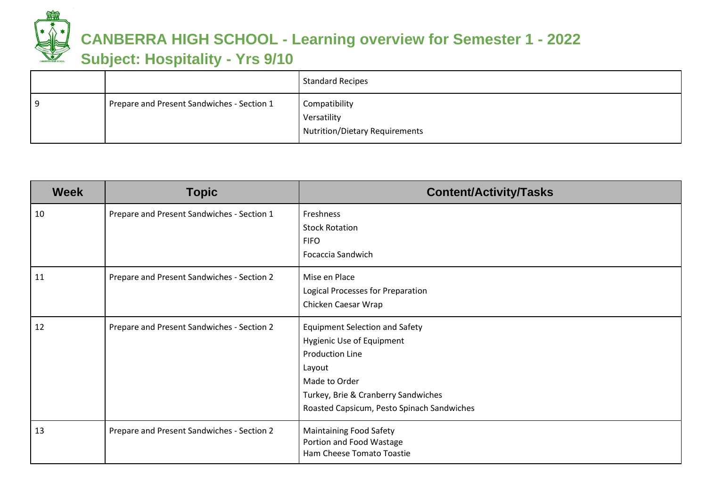

## **CANBERRA HIGH SCHOOL - Learning overview for Semester 1 - 2022**

## **Subject: Hospitality - Yrs 9/10**

|     |                                            | <b>Standard Recipes</b>                                        |
|-----|--------------------------------------------|----------------------------------------------------------------|
| 9 ا | Prepare and Present Sandwiches - Section 1 | Compatibility<br>Versatility<br>Nutrition/Dietary Requirements |

| <b>Week</b> | <b>Topic</b>                               | <b>Content/Activity/Tasks</b>                                                                                                                                                                                |
|-------------|--------------------------------------------|--------------------------------------------------------------------------------------------------------------------------------------------------------------------------------------------------------------|
| 10          | Prepare and Present Sandwiches - Section 1 | Freshness<br><b>Stock Rotation</b><br><b>FIFO</b><br>Focaccia Sandwich                                                                                                                                       |
| 11          | Prepare and Present Sandwiches - Section 2 | Mise en Place<br>Logical Processes for Preparation<br>Chicken Caesar Wrap                                                                                                                                    |
| 12          | Prepare and Present Sandwiches - Section 2 | <b>Equipment Selection and Safety</b><br>Hygienic Use of Equipment<br><b>Production Line</b><br>Layout<br>Made to Order<br>Turkey, Brie & Cranberry Sandwiches<br>Roasted Capsicum, Pesto Spinach Sandwiches |
| 13          | Prepare and Present Sandwiches - Section 2 | <b>Maintaining Food Safety</b><br>Portion and Food Wastage<br>Ham Cheese Tomato Toastie                                                                                                                      |